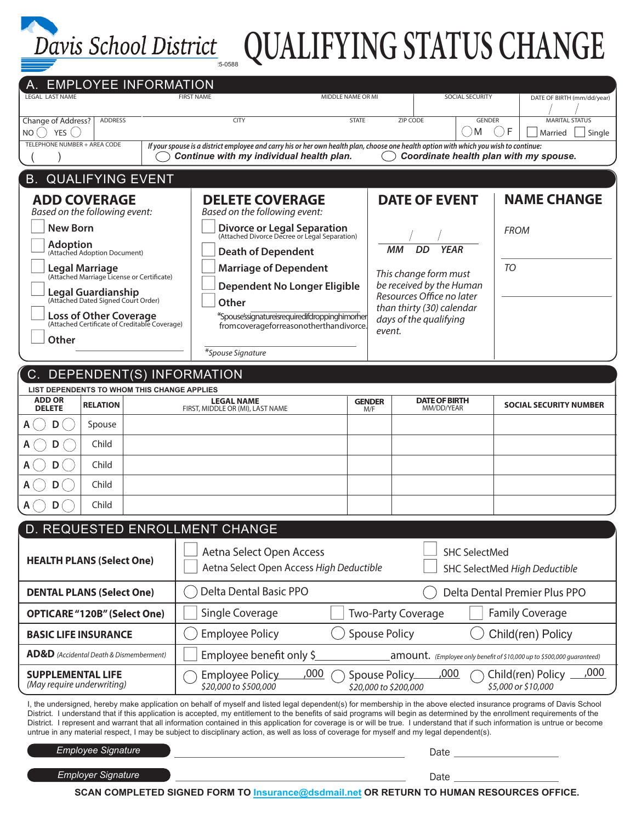

# <u>VIS School District <sub>sooss</sub> QUALIFYING STATUS CHANGE</u>

| A. EMPLOYEE INFORMATION<br><b>LEGAL LAST NAME</b>                                                                                                                                                                                                                                                                                                                                                                                                                                                                                                                                                                                                                                    | <b>FIRST NAME</b><br>MIDDLE NAME OR MI                                                                                                                                                                                                             |                            | SOCIAL SECURITY                                                                                                                                                                                           |               | DATE OF BIRTH (mm/dd/year)              |
|--------------------------------------------------------------------------------------------------------------------------------------------------------------------------------------------------------------------------------------------------------------------------------------------------------------------------------------------------------------------------------------------------------------------------------------------------------------------------------------------------------------------------------------------------------------------------------------------------------------------------------------------------------------------------------------|----------------------------------------------------------------------------------------------------------------------------------------------------------------------------------------------------------------------------------------------------|----------------------------|-----------------------------------------------------------------------------------------------------------------------------------------------------------------------------------------------------------|---------------|-----------------------------------------|
| Change of Address?<br><b>ADDRESS</b>                                                                                                                                                                                                                                                                                                                                                                                                                                                                                                                                                                                                                                                 | <b>STATE</b><br><b>CITY</b>                                                                                                                                                                                                                        |                            | ZIP CODE                                                                                                                                                                                                  | <b>GENDER</b> | <b>MARITAL STATUS</b><br>F              |
| $NO()$ YES $()$<br>TELEPHONE NUMBER + AREA CODE                                                                                                                                                                                                                                                                                                                                                                                                                                                                                                                                                                                                                                      | If your spouse is a district employee and carry his or her own health plan, choose one health option with which you wish to continue:                                                                                                              | – ∋ M<br>Married<br>Single |                                                                                                                                                                                                           |               |                                         |
| Continue with my individual health plan.<br>Coordinate health plan with my spouse.                                                                                                                                                                                                                                                                                                                                                                                                                                                                                                                                                                                                   |                                                                                                                                                                                                                                                    |                            |                                                                                                                                                                                                           |               |                                         |
| <b>B. QUALIFYING EVENT</b>                                                                                                                                                                                                                                                                                                                                                                                                                                                                                                                                                                                                                                                           |                                                                                                                                                                                                                                                    |                            |                                                                                                                                                                                                           |               |                                         |
| <b>ADD COVERAGE</b><br>Based on the following event:<br><b>New Born</b><br><b>Adoption</b><br>(Attached Adoption Document)<br><b>Legal Marriage</b><br>(Attached Marriage License or Certificate)                                                                                                                                                                                                                                                                                                                                                                                                                                                                                    | <b>DELETE COVERAGE</b><br>Based on the following event:<br><b>Divorce or Legal Separation</b><br>(Attached Divorce Decree or Legal Separation)<br><b>Death of Dependent</b><br><b>Marriage of Dependent</b><br><b>Dependent No Longer Eligible</b> |                            | <b>DATE OF EVENT</b><br><b>DD</b><br><b>YEAR</b><br>мм<br>This change form must<br>be received by the Human<br>Resources Office no later<br>than thirty (30) calendar<br>days of the qualifying<br>event. |               | <b>NAME CHANGE</b><br><b>FROM</b><br>TO |
| <b>Legal Guardianship</b><br>(Attached Dated Signed Court Order)<br><b>Loss of Other Coverage</b><br>(Attached Certificate of Creditable Coverage)<br>Other                                                                                                                                                                                                                                                                                                                                                                                                                                                                                                                          | Other<br>*Spouse'ssignatureisrequiredifdroppinghimorher<br>fromcoverageforreasonotherthandivorce.<br>*Spouse Signature                                                                                                                             |                            |                                                                                                                                                                                                           |               |                                         |
| DEPENDENT(S) INFORMATION                                                                                                                                                                                                                                                                                                                                                                                                                                                                                                                                                                                                                                                             |                                                                                                                                                                                                                                                    |                            |                                                                                                                                                                                                           |               |                                         |
| LIST DEPENDENTS TO WHOM THIS CHANGE APPLIES                                                                                                                                                                                                                                                                                                                                                                                                                                                                                                                                                                                                                                          |                                                                                                                                                                                                                                                    |                            |                                                                                                                                                                                                           |               |                                         |
| <b>ADD OR</b><br><b>RELATION</b><br><b>DELETE</b>                                                                                                                                                                                                                                                                                                                                                                                                                                                                                                                                                                                                                                    | <b>LEGAL NAME</b><br>FIRST, MIDDLE OR (MI), LAST NAME                                                                                                                                                                                              |                            | <b>DATE OF BIRTH</b><br><b>GENDER</b><br>MM/DD/YEAR<br>M/F                                                                                                                                                |               | <b>SOCIAL SECURITY NUMBER</b>           |
| Spouse<br>D                                                                                                                                                                                                                                                                                                                                                                                                                                                                                                                                                                                                                                                                          |                                                                                                                                                                                                                                                    |                            |                                                                                                                                                                                                           |               |                                         |
| Child<br>D                                                                                                                                                                                                                                                                                                                                                                                                                                                                                                                                                                                                                                                                           |                                                                                                                                                                                                                                                    |                            |                                                                                                                                                                                                           |               |                                         |
| Child<br>D                                                                                                                                                                                                                                                                                                                                                                                                                                                                                                                                                                                                                                                                           |                                                                                                                                                                                                                                                    |                            |                                                                                                                                                                                                           |               |                                         |
| Child<br>D                                                                                                                                                                                                                                                                                                                                                                                                                                                                                                                                                                                                                                                                           |                                                                                                                                                                                                                                                    |                            |                                                                                                                                                                                                           |               |                                         |
| Child<br>D                                                                                                                                                                                                                                                                                                                                                                                                                                                                                                                                                                                                                                                                           |                                                                                                                                                                                                                                                    |                            |                                                                                                                                                                                                           |               |                                         |
| D. REQUESTED ENROLLMENT CHANGE                                                                                                                                                                                                                                                                                                                                                                                                                                                                                                                                                                                                                                                       |                                                                                                                                                                                                                                                    |                            |                                                                                                                                                                                                           |               |                                         |
| <b>HEALTH PLANS (Select One)</b>                                                                                                                                                                                                                                                                                                                                                                                                                                                                                                                                                                                                                                                     | Aetna Select Open Access<br><b>SHC SelectMed</b><br>Aetna Select Open Access High Deductible<br>SHC SelectMed High Deductible                                                                                                                      |                            |                                                                                                                                                                                                           |               |                                         |
| <b>DENTAL PLANS (Select One)</b>                                                                                                                                                                                                                                                                                                                                                                                                                                                                                                                                                                                                                                                     | Delta Dental Basic PPO<br>Delta Dental Premier Plus PPO                                                                                                                                                                                            |                            |                                                                                                                                                                                                           |               |                                         |
| <b>OPTICARE "120B" (Select One)</b>                                                                                                                                                                                                                                                                                                                                                                                                                                                                                                                                                                                                                                                  | Single Coverage<br><b>Family Coverage</b><br><b>Two-Party Coverage</b>                                                                                                                                                                             |                            |                                                                                                                                                                                                           |               |                                         |
| <b>BASIC LIFE INSURANCE</b>                                                                                                                                                                                                                                                                                                                                                                                                                                                                                                                                                                                                                                                          | <b>Employee Policy</b><br><b>Spouse Policy</b><br>Child(ren) Policy                                                                                                                                                                                |                            |                                                                                                                                                                                                           |               |                                         |
| <b>AD&amp;D</b> (Accidental Death & Dismemberment)                                                                                                                                                                                                                                                                                                                                                                                                                                                                                                                                                                                                                                   | Employee benefit only \$<br><b>AMOUNT.</b> (Employee only benefit of \$10,000 up to \$500,000 guaranteed)                                                                                                                                          |                            |                                                                                                                                                                                                           |               |                                         |
| <b>SUPPLEMENTAL LIFE</b><br>(May require underwriting)                                                                                                                                                                                                                                                                                                                                                                                                                                                                                                                                                                                                                               | ,000<br>,000<br>,000<br>Child(ren) Policy<br>Spouse Policy_<br>Employee Policy<br>\$20,000 to \$500,000<br>\$5,000 or \$10,000<br>\$20,000 to \$200,000                                                                                            |                            |                                                                                                                                                                                                           |               |                                         |
| I, the undersigned, hereby make application on behalf of myself and listed legal dependent(s) for membership in the above elected insurance programs of Davis School<br>District. I understand that if this application is accepted, my entitlement to the benefits of said programs will begin as determined by the enrollment requirements of the<br>District. I represent and warrant that all information contained in this application for coverage is or will be true. I understand that if such information is untrue or become<br>untrue in any material respect, I may be subject to disciplinary action, as well as loss of coverage for myself and my legal dependent(s). |                                                                                                                                                                                                                                                    |                            |                                                                                                                                                                                                           |               |                                         |
| <b>Employee Signature</b>                                                                                                                                                                                                                                                                                                                                                                                                                                                                                                                                                                                                                                                            |                                                                                                                                                                                                                                                    |                            |                                                                                                                                                                                                           |               |                                         |
| <b>Employer Signature</b><br>Date<br>SCAN COMPLETED SIGNED FORM TO Incurance@dedmail.not OR RETURN TO HUMAN RESOURCES OFFICE                                                                                                                                                                                                                                                                                                                                                                                                                                                                                                                                                         |                                                                                                                                                                                                                                                    |                            |                                                                                                                                                                                                           |               |                                         |

**SCAN COMPLETED SIGNED FORM TO Insurance@dsdmail.net OR RETURN TO HUMAN RESOURCES OFFICE.**